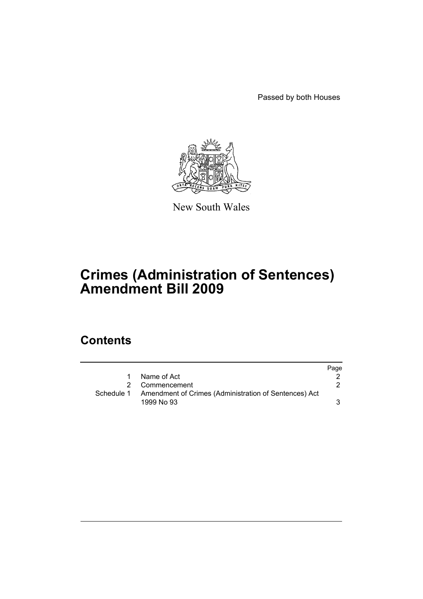Passed by both Houses



New South Wales

# **Crimes (Administration of Sentences) Amendment Bill 2009**

# **Contents**

|            |                                                       | Page |
|------------|-------------------------------------------------------|------|
| 1          | Name of Act                                           |      |
|            | Commencement                                          |      |
| Schedule 1 | Amendment of Crimes (Administration of Sentences) Act |      |
|            | 1999 No 93                                            |      |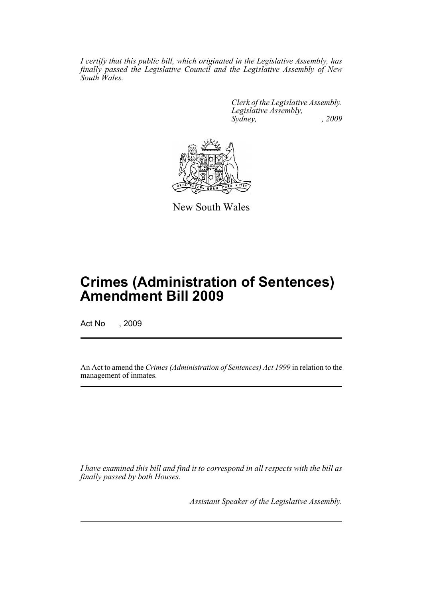*I certify that this public bill, which originated in the Legislative Assembly, has finally passed the Legislative Council and the Legislative Assembly of New South Wales.*

> *Clerk of the Legislative Assembly. Legislative Assembly, Sydney, , 2009*



New South Wales

# **Crimes (Administration of Sentences) Amendment Bill 2009**

Act No , 2009

An Act to amend the *Crimes (Administration of Sentences) Act 1999* in relation to the management of inmates.

*I have examined this bill and find it to correspond in all respects with the bill as finally passed by both Houses.*

*Assistant Speaker of the Legislative Assembly.*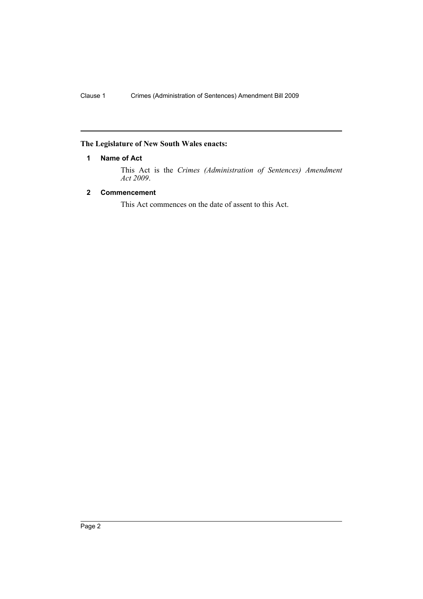## <span id="page-2-0"></span>**The Legislature of New South Wales enacts:**

## **1 Name of Act**

This Act is the *Crimes (Administration of Sentences) Amendment Act 2009*.

## <span id="page-2-1"></span>**2 Commencement**

This Act commences on the date of assent to this Act.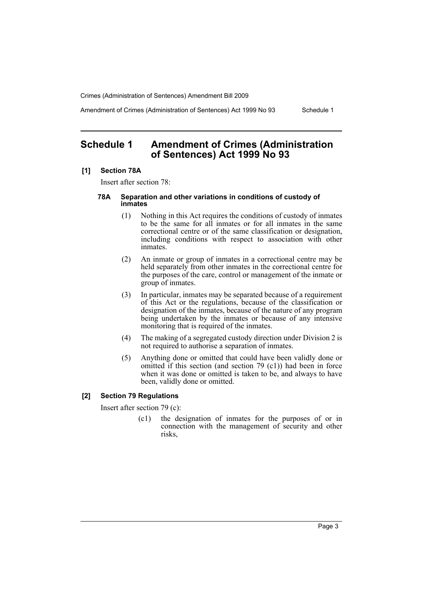Crimes (Administration of Sentences) Amendment Bill 2009

Amendment of Crimes (Administration of Sentences) Act 1999 No 93 Schedule 1

# <span id="page-3-0"></span>**Schedule 1 Amendment of Crimes (Administration of Sentences) Act 1999 No 93**

### **[1] Section 78A**

Insert after section 78:

#### **78A Separation and other variations in conditions of custody of inmates**

- (1) Nothing in this Act requires the conditions of custody of inmates to be the same for all inmates or for all inmates in the same correctional centre or of the same classification or designation, including conditions with respect to association with other inmates.
- (2) An inmate or group of inmates in a correctional centre may be held separately from other inmates in the correctional centre for the purposes of the care, control or management of the inmate or group of inmates.
- (3) In particular, inmates may be separated because of a requirement of this Act or the regulations, because of the classification or designation of the inmates, because of the nature of any program being undertaken by the inmates or because of any intensive monitoring that is required of the inmates.
- (4) The making of a segregated custody direction under Division 2 is not required to authorise a separation of inmates.
- (5) Anything done or omitted that could have been validly done or omitted if this section (and section 79 (c1)) had been in force when it was done or omitted is taken to be, and always to have been, validly done or omitted.

### **[2] Section 79 Regulations**

Insert after section 79 (c):

(c1) the designation of inmates for the purposes of or in connection with the management of security and other risks,